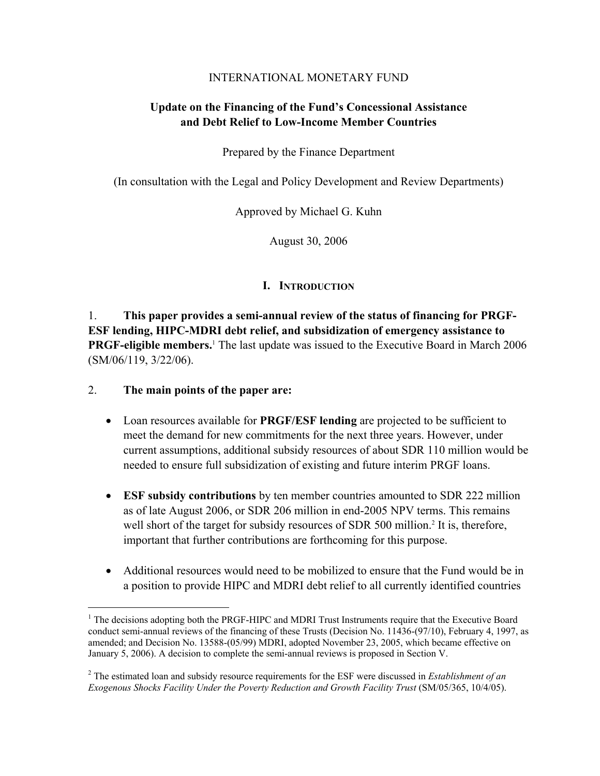# INTERNATIONAL MONETARY FUND

# **Update on the Financing of the Fund's Concessional Assistance and Debt Relief to Low-Income Member Countries**

Prepared by the Finance Department

(In consultation with the Legal and Policy Development and Review Departments)

Approved by Michael G. Kuhn

August 30, 2006

# **I. INTRODUCTION**

1. **This paper provides a semi-annual review of the status of financing for PRGF-ESF lending, HIPC-MDRI debt relief, and subsidization of emergency assistance to PRGF-eligible members.**<sup>1</sup> The last update was issued to the Executive Board in March 2006 (SM/06/119, 3/22/06).

2. **The main points of the paper are:**

1

- Loan resources available for **PRGF/ESF lending** are projected to be sufficient to meet the demand for new commitments for the next three years. However, under current assumptions, additional subsidy resources of about SDR 110 million would be needed to ensure full subsidization of existing and future interim PRGF loans.
- **ESF subsidy contributions** by ten member countries amounted to SDR 222 million as of late August 2006, or SDR 206 million in end-2005 NPV terms. This remains well short of the target for subsidy resources of SDR 500 million.<sup>2</sup> It is, therefore, important that further contributions are forthcoming for this purpose.
- Additional resources would need to be mobilized to ensure that the Fund would be in a position to provide HIPC and MDRI debt relief to all currently identified countries

<sup>&</sup>lt;sup>1</sup> The decisions adopting both the PRGF-HIPC and MDRI Trust Instruments require that the Executive Board conduct semi-annual reviews of the financing of these Trusts (Decision No. 11436-(97/10), February 4, 1997, as amended; and Decision No. 13588-(05/99) MDRI, adopted November 23, 2005, which became effective on January 5, 2006). A decision to complete the semi-annual reviews is proposed in Section V.

<sup>2</sup> The estimated loan and subsidy resource requirements for the ESF were discussed in *Establishment of an Exogenous Shocks Facility Under the Poverty Reduction and Growth Facility Trust* (SM/05/365, 10/4/05).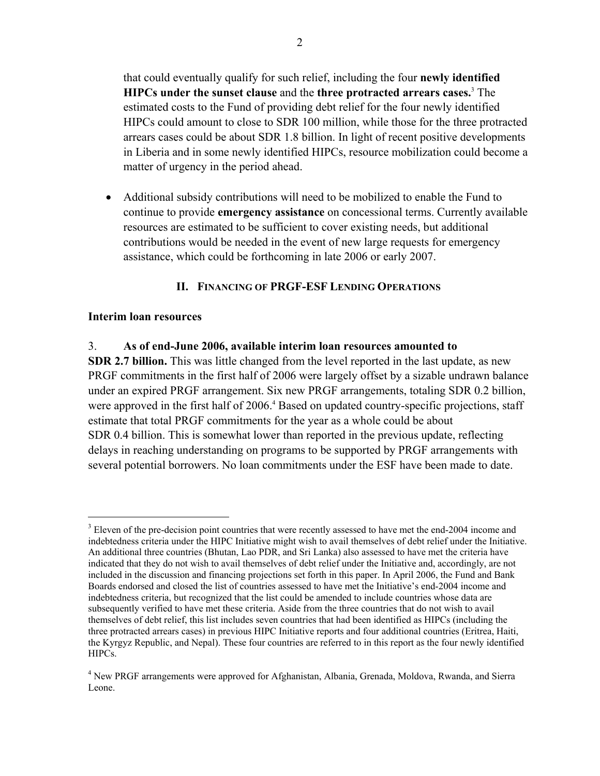that could eventually qualify for such relief, including the four **newly identified HIPCs under the sunset clause** and the **three protracted arrears cases.**<sup>3</sup> The estimated costs to the Fund of providing debt relief for the four newly identified HIPCs could amount to close to SDR 100 million, while those for the three protracted arrears cases could be about SDR 1.8 billion. In light of recent positive developments in Liberia and in some newly identified HIPCs, resource mobilization could become a matter of urgency in the period ahead.

• Additional subsidy contributions will need to be mobilized to enable the Fund to continue to provide **emergency assistance** on concessional terms. Currently available resources are estimated to be sufficient to cover existing needs, but additional contributions would be needed in the event of new large requests for emergency assistance, which could be forthcoming in late 2006 or early 2007.

# **II. FINANCING OF PRGF-ESF LENDING OPERATIONS**

## **Interim loan resources**

1

## 3. **As of end-June 2006, available interim loan resources amounted to**

**SDR 2.7 billion.** This was little changed from the level reported in the last update, as new PRGF commitments in the first half of 2006 were largely offset by a sizable undrawn balance under an expired PRGF arrangement. Six new PRGF arrangements, totaling SDR 0.2 billion, were approved in the first half of 2006.<sup>4</sup> Based on updated country-specific projections, staff estimate that total PRGF commitments for the year as a whole could be about SDR 0.4 billion. This is somewhat lower than reported in the previous update, reflecting delays in reaching understanding on programs to be supported by PRGF arrangements with several potential borrowers. No loan commitments under the ESF have been made to date.

<sup>&</sup>lt;sup>3</sup> Eleven of the pre-decision point countries that were recently assessed to have met the end-2004 income and indebtedness criteria under the HIPC Initiative might wish to avail themselves of debt relief under the Initiative. An additional three countries (Bhutan, Lao PDR, and Sri Lanka) also assessed to have met the criteria have indicated that they do not wish to avail themselves of debt relief under the Initiative and, accordingly, are not included in the discussion and financing projections set forth in this paper. In April 2006, the Fund and Bank Boards endorsed and closed the list of countries assessed to have met the Initiative's end-2004 income and indebtedness criteria, but recognized that the list could be amended to include countries whose data are subsequently verified to have met these criteria. Aside from the three countries that do not wish to avail themselves of debt relief, this list includes seven countries that had been identified as HIPCs (including the three protracted arrears cases) in previous HIPC Initiative reports and four additional countries (Eritrea, Haiti, the Kyrgyz Republic, and Nepal). These four countries are referred to in this report as the four newly identified HIPCs.

<sup>&</sup>lt;sup>4</sup> New PRGF arrangements were approved for Afghanistan, Albania, Grenada, Moldova, Rwanda, and Sierra Leone.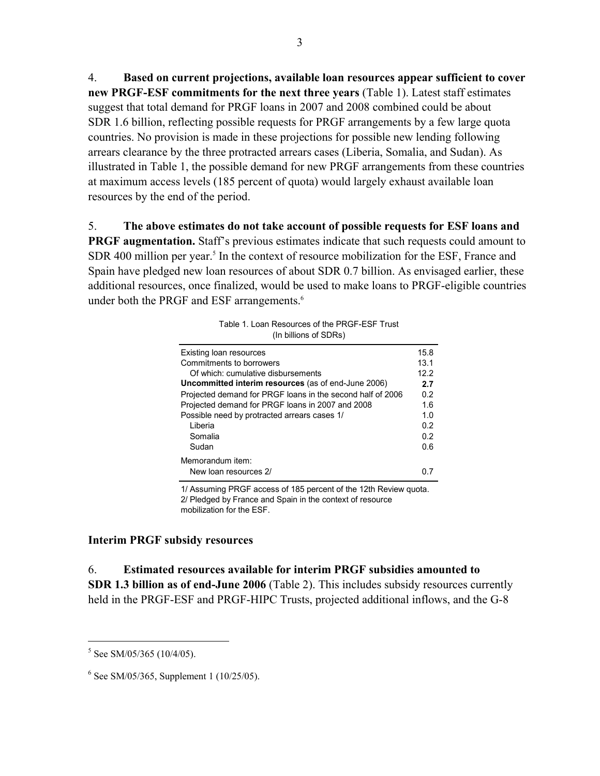4. **Based on current projections, available loan resources appear sufficient to cover new PRGF-ESF commitments for the next three years** (Table 1). Latest staff estimates suggest that total demand for PRGF loans in 2007 and 2008 combined could be about SDR 1.6 billion, reflecting possible requests for PRGF arrangements by a few large quota countries. No provision is made in these projections for possible new lending following arrears clearance by the three protracted arrears cases (Liberia, Somalia, and Sudan). As illustrated in Table 1, the possible demand for new PRGF arrangements from these countries at maximum access levels (185 percent of quota) would largely exhaust available loan resources by the end of the period.

5. **The above estimates do not take account of possible requests for ESF loans and PRGF augmentation.** Staff's previous estimates indicate that such requests could amount to SDR 400 million per year.<sup>5</sup> In the context of resource mobilization for the ESF, France and Spain have pledged new loan resources of about SDR 0.7 billion. As envisaged earlier, these additional resources, once finalized, would be used to make loans to PRGF-eligible countries under both the PRGF and ESF arrangements.<sup>6</sup>

| Existing loan resources                                    | 15.8 |
|------------------------------------------------------------|------|
| Commitments to borrowers                                   | 13.1 |
| Of which: cumulative disbursements                         | 12.2 |
| Uncommitted interim resources (as of end-June 2006)        | 2.7  |
| Projected demand for PRGF loans in the second half of 2006 | 0.2  |
| Projected demand for PRGF loans in 2007 and 2008           | 1.6  |
| Possible need by protracted arrears cases 1/               | 1.0  |
| Liberia                                                    | 0.2  |
| Somalia                                                    | 0.2  |
| Sudan                                                      | 0.6  |
| Memorandum item:                                           |      |
| New loan resources 2/                                      |      |

Table 1. Loan Resources of the PRGF-ESF Trust (In billions of SDRs)

1/ Assuming PRGF access of 185 percent of the 12th Review quota. 2/ Pledged by France and Spain in the context of resource mobilization for the ESF.

#### **Interim PRGF subsidy resources**

6. **Estimated resources available for interim PRGF subsidies amounted to SDR 1.3 billion as of end-June 2006** (Table 2). This includes subsidy resources currently held in the PRGF-ESF and PRGF-HIPC Trusts, projected additional inflows, and the G-8

 $\overline{a}$ 

 $5$  See SM/05/365 (10/4/05).

<sup>6</sup> See SM/05/365, Supplement 1 (10/25/05).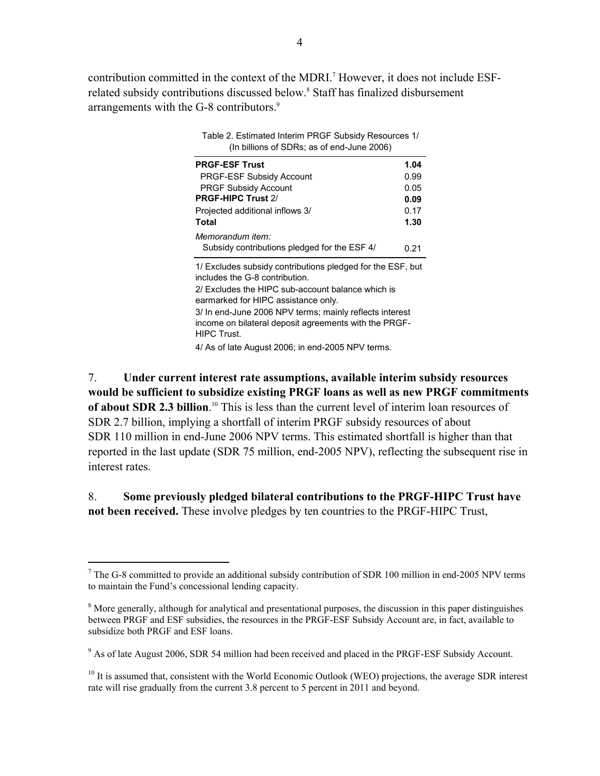contribution committed in the context of the MDRI.<sup>7</sup> However, it does not include ESFrelated subsidy contributions discussed below.<sup>8</sup> Staff has finalized disbursement arrangements with the G-8 contributors.<sup>9</sup>

| Table 2. Estimated Interim PRGF Subsidy Resources 1/<br>(In billions of SDRs; as of end-June 2006)                                                                                       |      |  |  |  |
|------------------------------------------------------------------------------------------------------------------------------------------------------------------------------------------|------|--|--|--|
| <b>PRGF-ESF Trust</b>                                                                                                                                                                    | 1.04 |  |  |  |
| <b>PRGF-ESF Subsidy Account</b>                                                                                                                                                          | 0.99 |  |  |  |
| <b>PRGF Subsidy Account</b>                                                                                                                                                              | 0.05 |  |  |  |
| PRGF-HIPC Trust 2/                                                                                                                                                                       | 0.09 |  |  |  |
| Projected additional inflows 3/                                                                                                                                                          | 0.17 |  |  |  |
| Total                                                                                                                                                                                    | 1.30 |  |  |  |
| Memorandum item:                                                                                                                                                                         |      |  |  |  |
| Subsidy contributions pledged for the ESF 4/                                                                                                                                             | 0.21 |  |  |  |
| 1/ Excludes subsidy contributions pledged for the ESF, but<br>includes the G-8 contribution.<br>2/ Excludes the HIPC sub-account balance which is<br>earmarked for HIPC assistance only. |      |  |  |  |
| 3/ In end-June 2006 NPV terms; mainly reflects interest<br>income on bilateral deposit agreements with the PRGF-<br>HIPC Trust.                                                          |      |  |  |  |

4/ As of late August 2006; in end-2005 NPV terms.

7. **Under current interest rate assumptions, available interim subsidy resources would be sufficient to subsidize existing PRGF loans as well as new PRGF commitments of about SDR 2.3 billion**. 10 This is less than the current level of interim loan resources of SDR 2.7 billion, implying a shortfall of interim PRGF subsidy resources of about SDR 110 million in end-June 2006 NPV terms. This estimated shortfall is higher than that reported in the last update (SDR 75 million, end-2005 NPV), reflecting the subsequent rise in interest rates.

# 8. **Some previously pledged bilateral contributions to the PRGF-HIPC Trust have not been received.** These involve pledges by ten countries to the PRGF-HIPC Trust,

 $\overline{a}$ 

 $7$  The G-8 committed to provide an additional subsidy contribution of SDR 100 million in end-2005 NPV terms to maintain the Fund's concessional lending capacity.

<sup>&</sup>lt;sup>8</sup> More generally, although for analytical and presentational purposes, the discussion in this paper distinguishes between PRGF and ESF subsidies, the resources in the PRGF-ESF Subsidy Account are, in fact, available to subsidize both PRGF and ESF loans.

<sup>&</sup>lt;sup>9</sup> As of late August 2006, SDR 54 million had been received and placed in the PRGF-ESF Subsidy Account.

<sup>&</sup>lt;sup>10</sup> It is assumed that, consistent with the World Economic Outlook (WEO) projections, the average SDR interest rate will rise gradually from the current 3.8 percent to 5 percent in 2011 and beyond.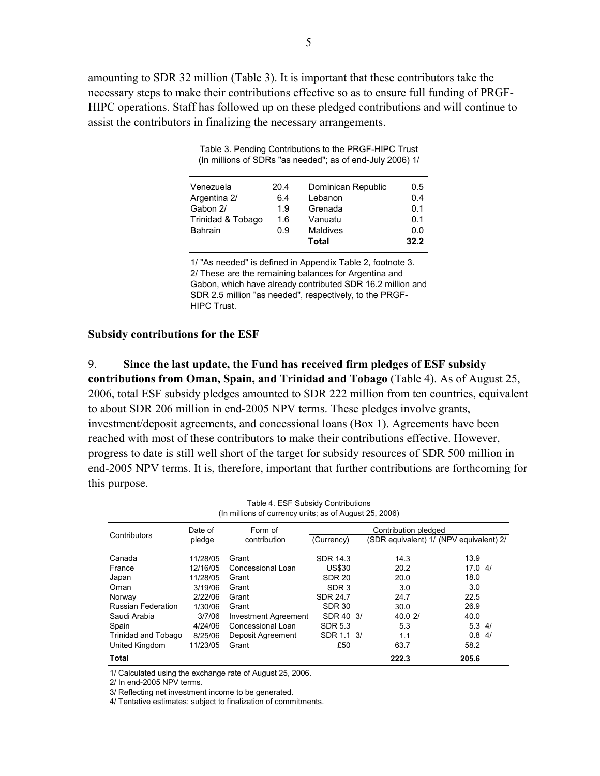amounting to SDR 32 million (Table 3). It is important that these contributors take the necessary steps to make their contributions effective so as to ensure full funding of PRGF-HIPC operations. Staff has followed up on these pledged contributions and will continue to assist the contributors in finalizing the necessary arrangements.

| Table 3. Pending Contributions to the PRGF-HIPC Trust     |
|-----------------------------------------------------------|
| (In millions of SDRs "as needed"; as of end-July 2006) 1/ |

| Venezuela         | 20.4 | Dominican Republic | 0.5  |
|-------------------|------|--------------------|------|
| Argentina 2/      | 6.4  | Lebanon            | 0.4  |
| Gabon 2/          | 1.9  | Grenada            | 0.1  |
| Trinidad & Tobago | 1.6  | Vanuatu            | 0.1  |
| <b>Bahrain</b>    | 0.9  | <b>Maldives</b>    | 0.0  |
|                   |      | Total              | 32.2 |

1/ "As needed" is defined in Appendix Table 2, footnote 3. 2/ These are the remaining balances for Argentina and Gabon, which have already contributed SDR 16.2 million and SDR 2.5 million "as needed", respectively, to the PRGF-HIPC Trust.

#### **Subsidy contributions for the ESF**

9. **Since the last update, the Fund has received firm pledges of ESF subsidy contributions from Oman, Spain, and Trinidad and Tobago** (Table 4). As of August 25, 2006, total ESF subsidy pledges amounted to SDR 222 million from ten countries, equivalent to about SDR 206 million in end-2005 NPV terms. These pledges involve grants, investment/deposit agreements, and concessional loans (Box 1). Agreements have been reached with most of these contributors to make their contributions effective. However, progress to date is still well short of the target for subsidy resources of SDR 500 million in end-2005 NPV terms. It is, therefore, important that further contributions are forthcoming for this purpose.

Date of Form of pledge contribution (Currency) (SDR equivalent) 1/ (NPV equivalent) 2/ Canada 11/28/05 Grant SDR 14.3 14.3 13.9 France 12/16/05 Concessional Loan US\$30 20.2 17.0 4/ Japan 11/28/05 Grant SDR 20 20.0 18.0 Oman 3/19/06 Grant SDR 3 3.0 3.0 3.0 Norway 2/22/06 Grant SDR 24.7 24.7 22.5 Russian Federation 1/30/06 Grant SDR 30 30.0 30.0 26.9 Saudi Arabia **3/7/06** Investment Agreement SDR 40 3/ 40.0 2/ 40.0 Spain 4/24/06 Concessional Loan SDR 5.3 5.3 5.3 4/ Trinidad and Tobago 8/25/06 Deposit Agreement SDR 1.1 3/ 1.1 0.8 4/ United Kingdom 11/23/05 Grant **2006** 63.7 58.2 **Total 222.3 205.6** Contributors Date of Form of Contribution pledged<br>Contributors pledge contribution (Currency) (SDR equivalent) 1/ (N Table 4. ESF Subsidy Contributions (In millions of currency units; as of August 25, 2006)

1/ Calculated using the exchange rate of August 25, 2006.

2/ In end-2005 NPV terms.

3/ Reflecting net investment income to be generated.

4/ Tentative estimates; subject to finalization of commitments.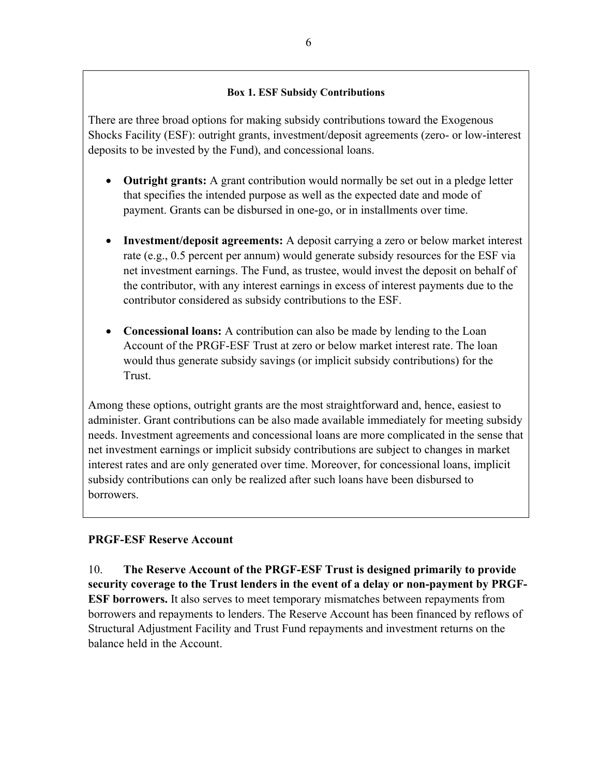## **Box 1. ESF Subsidy Contributions**

There are three broad options for making subsidy contributions toward the Exogenous Shocks Facility (ESF): outright grants, investment/deposit agreements (zero- or low-interest deposits to be invested by the Fund), and concessional loans.

- **Outright grants:** A grant contribution would normally be set out in a pledge letter that specifies the intended purpose as well as the expected date and mode of payment. Grants can be disbursed in one-go, or in installments over time.
- **Investment/deposit agreements:** A deposit carrying a zero or below market interest rate (e.g., 0.5 percent per annum) would generate subsidy resources for the ESF via net investment earnings. The Fund, as trustee, would invest the deposit on behalf of the contributor, with any interest earnings in excess of interest payments due to the contributor considered as subsidy contributions to the ESF.
- **Concessional loans:** A contribution can also be made by lending to the Loan Account of the PRGF-ESF Trust at zero or below market interest rate. The loan would thus generate subsidy savings (or implicit subsidy contributions) for the Trust.

Among these options, outright grants are the most straightforward and, hence, easiest to administer. Grant contributions can be also made available immediately for meeting subsidy needs. Investment agreements and concessional loans are more complicated in the sense that net investment earnings or implicit subsidy contributions are subject to changes in market interest rates and are only generated over time. Moreover, for concessional loans, implicit subsidy contributions can only be realized after such loans have been disbursed to **borrowers** 

# **PRGF-ESF Reserve Account**

10. **The Reserve Account of the PRGF-ESF Trust is designed primarily to provide security coverage to the Trust lenders in the event of a delay or non-payment by PRGF-ESF borrowers.** It also serves to meet temporary mismatches between repayments from borrowers and repayments to lenders. The Reserve Account has been financed by reflows of Structural Adjustment Facility and Trust Fund repayments and investment returns on the balance held in the Account.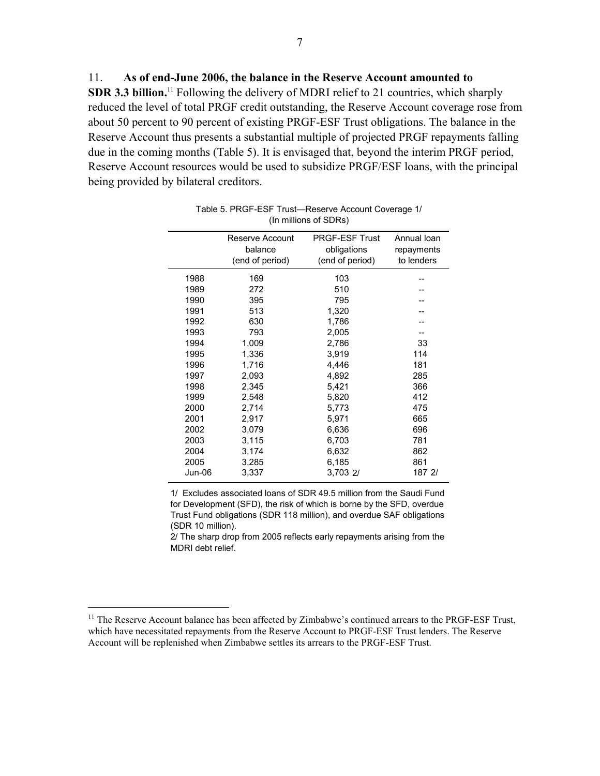**SDR 3.3 billion.**<sup>11</sup> Following the delivery of MDRI relief to 21 countries, which sharply reduced the level of total PRGF credit outstanding, the Reserve Account coverage rose from about 50 percent to 90 percent of existing PRGF-ESF Trust obligations. The balance in the Reserve Account thus presents a substantial multiple of projected PRGF repayments falling due in the coming months (Table 5). It is envisaged that, beyond the interim PRGF period, Reserve Account resources would be used to subsidize PRGF/ESF loans, with the principal being provided by bilateral creditors.

| <b>PRGF-ESF Trust</b><br>Reserve Account<br>balance<br>obligations | Annual Ioan<br>repayments<br>to lenders |
|--------------------------------------------------------------------|-----------------------------------------|
|                                                                    |                                         |
|                                                                    |                                         |
| (end of period)<br>(end of period)                                 |                                         |
| 103<br>1988<br>169                                                 |                                         |
| 272<br>510<br>1989                                                 |                                         |
| 1990<br>395<br>795                                                 |                                         |
| 1991<br>513<br>1,320                                               |                                         |
| 1992<br>630<br>1,786                                               |                                         |
| 1993<br>793<br>2,005                                               |                                         |
| 1994<br>1,009<br>2,786                                             | 33                                      |
| 1995<br>1,336<br>3,919                                             | 114                                     |
| 1,716<br>1996<br>4,446                                             | 181                                     |
| 1997<br>2,093<br>4,892                                             | 285                                     |
| 2,345<br>5,421<br>1998                                             | 366                                     |
| 1999<br>2,548<br>5,820                                             | 412                                     |
| 2000<br>2,714<br>5,773                                             | 475                                     |
| 2001<br>2,917<br>5,971                                             | 665                                     |
| 2002<br>3,079<br>6,636                                             | 696                                     |
| 3,115<br>6,703<br>2003                                             | 781                                     |
| 2004<br>3,174<br>6,632                                             | 862                                     |
| 2005<br>3,285<br>6,185                                             | 861                                     |
| Jun-06<br>3,703 2/<br>3,337                                        | 187 2/                                  |

| Table 5. PRGF-ESF Trust-Reserve Account Coverage 1/ |  |
|-----------------------------------------------------|--|
| (In millions of SDRs)                               |  |

 (SDR 10 million). 1/ Excludes associated loans of SDR 49.5 million from the Saudi Fund for Development (SFD), the risk of which is borne by the SFD, overdue Trust Fund obligations (SDR 118 million), and overdue SAF obligations

2/ The sharp drop from 2005 reflects early repayments arising from the MDRI debt relief.

1

<sup>&</sup>lt;sup>11</sup> The Reserve Account balance has been affected by Zimbabwe's continued arrears to the PRGF-ESF Trust, which have necessitated repayments from the Reserve Account to PRGF-ESF Trust lenders. The Reserve Account will be replenished when Zimbabwe settles its arrears to the PRGF-ESF Trust.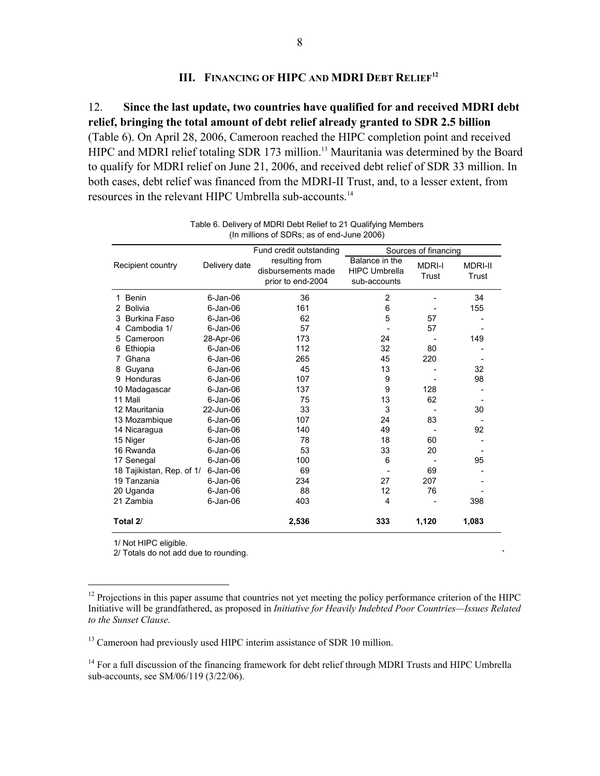## **III. FINANCING OF HIPC AND MDRI DEBT RELIEF12**

12. **Since the last update, two countries have qualified for and received MDRI debt relief, bringing the total amount of debt relief already granted to SDR 2.5 billion**  (Table 6). On April 28, 2006, Cameroon reached the HIPC completion point and received HIPC and MDRI relief totaling SDR 173 million.<sup>13</sup> Mauritania was determined by the Board to qualify for MDRI relief on June 21, 2006, and received debt relief of SDR 33 million. In both cases, debt relief was financed from the MDRI-II Trust, and, to a lesser extent, from resources in the relevant HIPC Umbrella sub-accounts.14

|                           |               | Fund credit outstanding                                   | Sources of financing                                   |                        |                         |  |
|---------------------------|---------------|-----------------------------------------------------------|--------------------------------------------------------|------------------------|-------------------------|--|
| Recipient country         | Delivery date | resulting from<br>disbursements made<br>prior to end-2004 | Balance in the<br><b>HIPC Umbrella</b><br>sub-accounts | <b>MDRI-I</b><br>Trust | <b>MDRI-II</b><br>Trust |  |
| Benin<br>1.               | $6$ -Jan-06   | 36                                                        | $\overline{2}$                                         |                        | 34                      |  |
| <b>Bolivia</b><br>2       | $6$ -Jan-06   | 161                                                       | 6                                                      |                        | 155                     |  |
| Burkina Faso<br>3         | $6$ -Jan-06   | 62                                                        | 5                                                      | 57                     |                         |  |
| Cambodia 1/<br>4          | $6$ -Jan-06   | 57                                                        |                                                        | 57                     |                         |  |
| Cameroon<br>5             | 28-Apr-06     | 173                                                       | 24                                                     |                        | 149                     |  |
| Ethiopia<br>6             | $6$ -Jan-06   | 112                                                       | 32                                                     | 80                     |                         |  |
| Ghana                     | $6$ -Jan-06   | 265                                                       | 45                                                     | 220                    |                         |  |
| Guyana<br>8               | $6$ -Jan-06   | 45                                                        | 13                                                     |                        | 32                      |  |
| Honduras<br>9             | $6$ -Jan-06   | 107                                                       | 9                                                      |                        | 98                      |  |
| 10 Madagascar             | $6$ -Jan-06   | 137                                                       | 9                                                      | 128                    |                         |  |
| 11 Mali                   | $6$ -Jan-06   | 75                                                        | 13                                                     | 62                     |                         |  |
| 12 Mauritania             | 22-Jun-06     | 33                                                        | 3                                                      |                        | 30                      |  |
| 13 Mozambique             | $6$ -Jan-06   | 107                                                       | 24                                                     | 83                     |                         |  |
| 14 Nicaragua              | $6$ -Jan-06   | 140                                                       | 49                                                     |                        | 92                      |  |
| 15 Niger                  | $6$ -Jan-06   | 78                                                        | 18                                                     | 60                     |                         |  |
| 16 Rwanda                 | $6$ -Jan-06   | 53                                                        | 33                                                     | 20                     |                         |  |
| 17 Senegal                | $6$ -Jan-06   | 100                                                       | 6                                                      |                        | 95                      |  |
| 18 Tajikistan, Rep. of 1/ | $6$ -Jan-06   | 69                                                        |                                                        | 69                     |                         |  |
| 19 Tanzania               | $6$ -Jan-06   | 234                                                       | 27                                                     | 207                    |                         |  |
| 20 Uganda                 | $6$ -Jan-06   | 88                                                        | 12                                                     | 76                     |                         |  |
| 21 Zambia                 | $6$ -Jan-06   | 403                                                       | $\overline{4}$                                         |                        | 398                     |  |
| Total 2/                  |               | 2,536                                                     | 333                                                    | 1,120                  | 1,083                   |  |

Table 6. Delivery of MDRI Debt Relief to 21 Qualifying Members (In millions of SDRs; as of end-June 2006)

1/ Not HIPC eligible.

1

2/ Totals do not add due to rounding.

`

<sup>13</sup> Cameroon had previously used HIPC interim assistance of SDR 10 million.

<sup>14</sup> For a full discussion of the financing framework for debt relief through MDRI Trusts and HIPC Umbrella sub-accounts, see SM/06/119 (3/22/06).

<sup>&</sup>lt;sup>12</sup> Projections in this paper assume that countries not yet meeting the policy performance criterion of the HIPC Initiative will be grandfathered, as proposed in *Initiative for Heavily Indebted Poor Countries—Issues Related to the Sunset Clause*.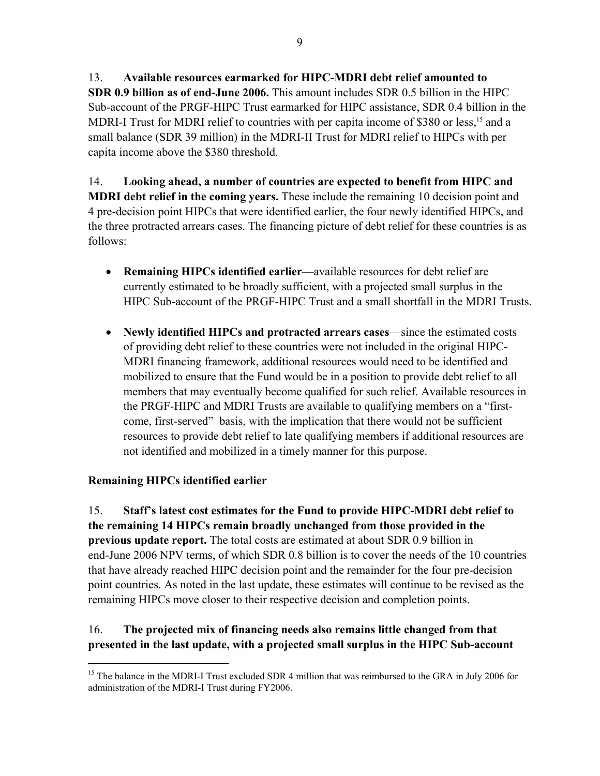13. **Available resources earmarked for HIPC-MDRI debt relief amounted to SDR 0.9 billion as of end-June 2006.** This amount includes SDR 0.5 billion in the HIPC Sub-account of the PRGF-HIPC Trust earmarked for HIPC assistance, SDR 0.4 billion in the MDRI-I Trust for MDRI relief to countries with per capita income of \$380 or less,<sup>15</sup> and a small balance (SDR 39 million) in the MDRI-II Trust for MDRI relief to HIPCs with per capita income above the \$380 threshold.

14. **Looking ahead, a number of countries are expected to benefit from HIPC and MDRI debt relief in the coming years.** These include the remaining 10 decision point and 4 pre-decision point HIPCs that were identified earlier, the four newly identified HIPCs, and the three protracted arrears cases. The financing picture of debt relief for these countries is as follows:

- **Remaining HIPCs identified earlier**—available resources for debt relief are currently estimated to be broadly sufficient, with a projected small surplus in the HIPC Sub-account of the PRGF-HIPC Trust and a small shortfall in the MDRI Trusts.
- **Newly identified HIPCs and protracted arrears cases**—since the estimated costs of providing debt relief to these countries were not included in the original HIPC-MDRI financing framework, additional resources would need to be identified and mobilized to ensure that the Fund would be in a position to provide debt relief to all members that may eventually become qualified for such relief. Available resources in the PRGF-HIPC and MDRI Trusts are available to qualifying members on a "firstcome, first-served" basis, with the implication that there would not be sufficient resources to provide debt relief to late qualifying members if additional resources are not identified and mobilized in a timely manner for this purpose.

# **Remaining HIPCs identified earlier**

<u>.</u>

15. **Staff's latest cost estimates for the Fund to provide HIPC-MDRI debt relief to the remaining 14 HIPCs remain broadly unchanged from those provided in the previous update report.** The total costs are estimated at about SDR 0.9 billion in end-June 2006 NPV terms, of which SDR 0.8 billion is to cover the needs of the 10 countries that have already reached HIPC decision point and the remainder for the four pre-decision point countries. As noted in the last update, these estimates will continue to be revised as the remaining HIPCs move closer to their respective decision and completion points.

# 16. **The projected mix of financing needs also remains little changed from that presented in the last update, with a projected small surplus in the HIPC Sub-account**

<sup>&</sup>lt;sup>15</sup> The balance in the MDRI-I Trust excluded SDR 4 million that was reimbursed to the GRA in July 2006 for administration of the MDRI-I Trust during FY2006.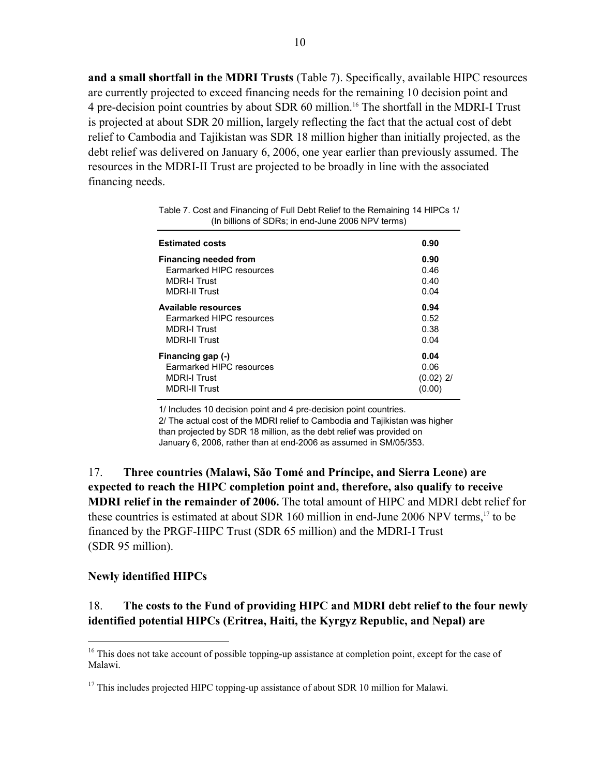**and a small shortfall in the MDRI Trusts** (Table 7). Specifically, available HIPC resources are currently projected to exceed financing needs for the remaining 10 decision point and 4 pre-decision point countries by about SDR 60 million.16 The shortfall in the MDRI-I Trust is projected at about SDR 20 million, largely reflecting the fact that the actual cost of debt relief to Cambodia and Tajikistan was SDR 18 million higher than initially projected, as the debt relief was delivered on January 6, 2006, one year earlier than previously assumed. The resources in the MDRI-II Trust are projected to be broadly in line with the associated financing needs.

| <b>Estimated costs</b>       | 0.90        |
|------------------------------|-------------|
| <b>Financing needed from</b> | 0.90        |
| Earmarked HIPC resources     | 0.46        |
| <b>MDRI-I Trust</b>          | 0.40        |
| <b>MDRI-II Trust</b>         | 0.04        |
| <b>Available resources</b>   | 0.94        |
| Earmarked HIPC resources     | 0.52        |
| <b>MDRI-I Trust</b>          | 0.38        |
| <b>MDRI-II Trust</b>         | 0.04        |
| Financing gap (-)            | 0.04        |
| Earmarked HIPC resources     | 0.06        |
| <b>MDRI-I Trust</b>          | $(0.02)$ 2/ |
| <b>MDRI-II Trust</b>         | (0.00)      |
|                              |             |

| Table 7. Cost and Financing of Full Debt Relief to the Remaining 14 HIPCs 1/ |  |
|------------------------------------------------------------------------------|--|
| (In billions of SDRs; in end-June 2006 NPV terms)                            |  |

1/ Includes 10 decision point and 4 pre-decision point countries. 2/ The actual cost of the MDRI relief to Cambodia and Tajikistan was higher than projected by SDR 18 million, as the debt relief was provided on January 6, 2006, rather than at end-2006 as assumed in SM/05/353.

17. **Three countries (Malawi, São Tomé and Príncipe, and Sierra Leone) are expected to reach the HIPC completion point and, therefore, also qualify to receive MDRI relief in the remainder of 2006.** The total amount of HIPC and MDRI debt relief for these countries is estimated at about SDR 160 million in end-June 2006 NPV terms,<sup>17</sup> to be financed by the PRGF-HIPC Trust (SDR 65 million) and the MDRI-I Trust (SDR 95 million).

### **Newly identified HIPCs**

 $\overline{a}$ 

# 18. **The costs to the Fund of providing HIPC and MDRI debt relief to the four newly identified potential HIPCs (Eritrea, Haiti, the Kyrgyz Republic, and Nepal) are**

<sup>&</sup>lt;sup>16</sup> This does not take account of possible topping-up assistance at completion point, except for the case of Malawi.

 $17$  This includes projected HIPC topping-up assistance of about SDR 10 million for Malawi.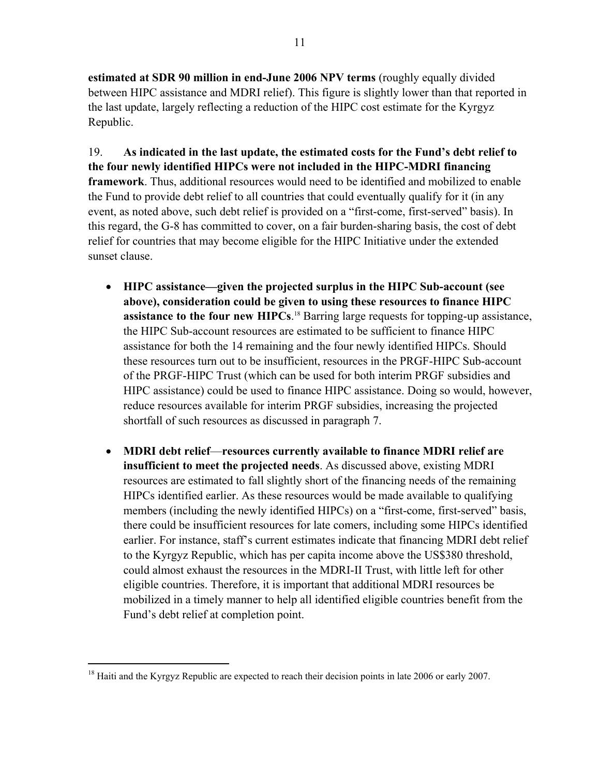**estimated at SDR 90 million in end-June 2006 NPV terms** (roughly equally divided between HIPC assistance and MDRI relief). This figure is slightly lower than that reported in the last update, largely reflecting a reduction of the HIPC cost estimate for the Kyrgyz Republic.

19. **As indicated in the last update, the estimated costs for the Fund's debt relief to the four newly identified HIPCs were not included in the HIPC-MDRI financing framework**. Thus, additional resources would need to be identified and mobilized to enable the Fund to provide debt relief to all countries that could eventually qualify for it (in any event, as noted above, such debt relief is provided on a "first-come, first-served" basis). In this regard, the G-8 has committed to cover, on a fair burden-sharing basis, the cost of debt relief for countries that may become eligible for the HIPC Initiative under the extended sunset clause.

- **HIPC assistance—given the projected surplus in the HIPC Sub-account (see above), consideration could be given to using these resources to finance HIPC assistance to the four new HIPCs**. 18 Barring large requests for topping-up assistance, the HIPC Sub-account resources are estimated to be sufficient to finance HIPC assistance for both the 14 remaining and the four newly identified HIPCs. Should these resources turn out to be insufficient, resources in the PRGF-HIPC Sub-account of the PRGF-HIPC Trust (which can be used for both interim PRGF subsidies and HIPC assistance) could be used to finance HIPC assistance. Doing so would, however, reduce resources available for interim PRGF subsidies, increasing the projected shortfall of such resources as discussed in paragraph 7.
- **MDRI debt relief**—**resources currently available to finance MDRI relief are insufficient to meet the projected needs**. As discussed above, existing MDRI resources are estimated to fall slightly short of the financing needs of the remaining HIPCs identified earlier. As these resources would be made available to qualifying members (including the newly identified HIPCs) on a "first-come, first-served" basis, there could be insufficient resources for late comers, including some HIPCs identified earlier. For instance, staff's current estimates indicate that financing MDRI debt relief to the Kyrgyz Republic, which has per capita income above the US\$380 threshold, could almost exhaust the resources in the MDRI-II Trust, with little left for other eligible countries. Therefore, it is important that additional MDRI resources be mobilized in a timely manner to help all identified eligible countries benefit from the Fund's debt relief at completion point.

<u>.</u>

<sup>&</sup>lt;sup>18</sup> Haiti and the Kyrgyz Republic are expected to reach their decision points in late 2006 or early 2007.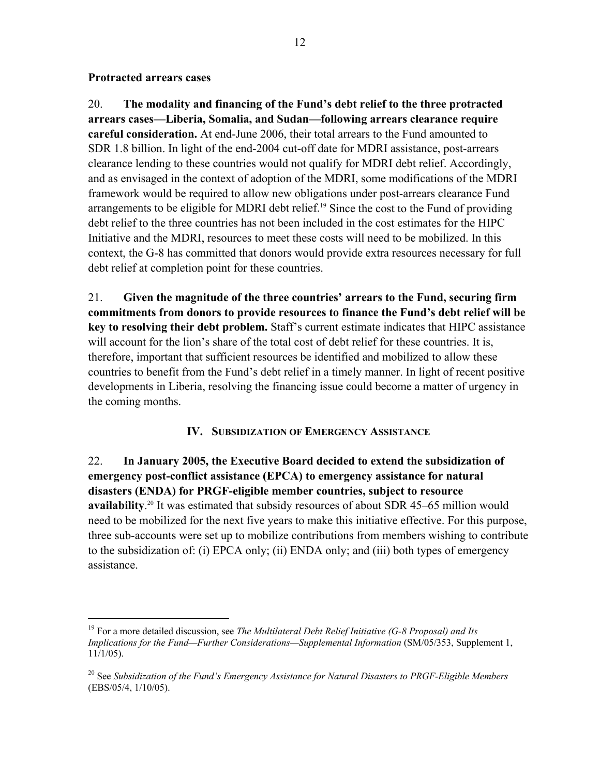### **Protracted arrears cases**

1

20. **The modality and financing of the Fund's debt relief to the three protracted arrears cases—Liberia, Somalia, and Sudan—following arrears clearance require careful consideration.** At end-June 2006, their total arrears to the Fund amounted to SDR 1.8 billion. In light of the end-2004 cut-off date for MDRI assistance, post-arrears clearance lending to these countries would not qualify for MDRI debt relief. Accordingly, and as envisaged in the context of adoption of the MDRI, some modifications of the MDRI framework would be required to allow new obligations under post-arrears clearance Fund arrangements to be eligible for MDRI debt relief.<sup>19</sup> Since the cost to the Fund of providing debt relief to the three countries has not been included in the cost estimates for the HIPC Initiative and the MDRI, resources to meet these costs will need to be mobilized. In this context, the G-8 has committed that donors would provide extra resources necessary for full debt relief at completion point for these countries.

21. **Given the magnitude of the three countries' arrears to the Fund, securing firm commitments from donors to provide resources to finance the Fund's debt relief will be key to resolving their debt problem.** Staff's current estimate indicates that HIPC assistance will account for the lion's share of the total cost of debt relief for these countries. It is, therefore, important that sufficient resources be identified and mobilized to allow these countries to benefit from the Fund's debt relief in a timely manner. In light of recent positive developments in Liberia, resolving the financing issue could become a matter of urgency in the coming months.

# **IV. SUBSIDIZATION OF EMERGENCY ASSISTANCE**

22. **In January 2005, the Executive Board decided to extend the subsidization of emergency post-conflict assistance (EPCA) to emergency assistance for natural disasters (ENDA) for PRGF-eligible member countries, subject to resource**  availability.<sup>20</sup> It was estimated that subsidy resources of about SDR 45–65 million would need to be mobilized for the next five years to make this initiative effective. For this purpose, three sub-accounts were set up to mobilize contributions from members wishing to contribute to the subsidization of: (i) EPCA only; (ii) ENDA only; and (iii) both types of emergency assistance.

<sup>19</sup> For a more detailed discussion, see *The Multilateral Debt Relief Initiative (G-8 Proposal) and Its Implications for the Fund—Further Considerations—Supplemental Information (SM/05/353, Supplement 1,* 11/1/05).

<sup>20</sup> See *Subsidization of the Fund's Emergency Assistance for Natural Disasters to PRGF-Eligible Members*  (EBS/05/4, 1/10/05).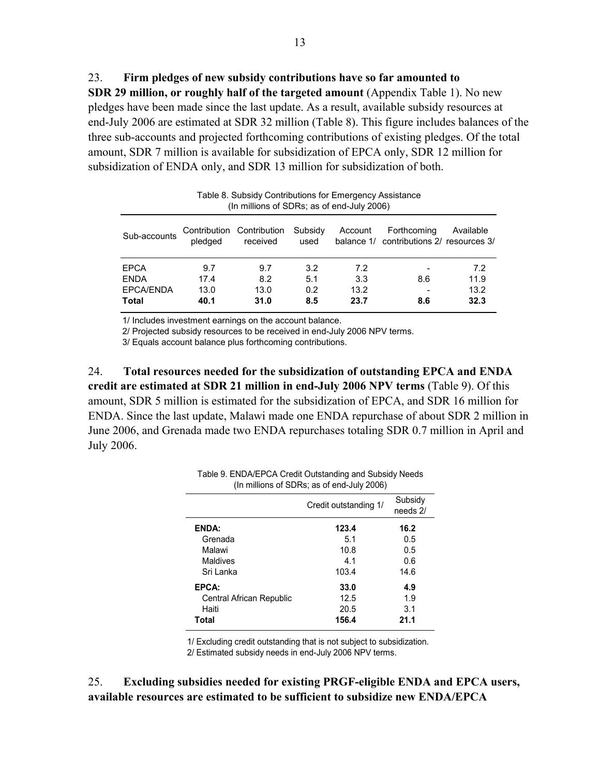23. **Firm pledges of new subsidy contributions have so far amounted to SDR 29 million, or roughly half of the targeted amount** (Appendix Table 1). No new pledges have been made since the last update. As a result, available subsidy resources at end-July 2006 are estimated at SDR 32 million (Table 8). This figure includes balances of the three sub-accounts and projected forthcoming contributions of existing pledges. Of the total amount, SDR 7 million is available for subsidization of EPCA only, SDR 12 million for subsidization of ENDA only, and SDR 13 million for subsidization of both.

| Table 8. Subsidy Contributions for Emergency Assistance<br>(In millions of SDRs; as of end-July 2006)                                                                  |      |      |     |      |     |      |
|------------------------------------------------------------------------------------------------------------------------------------------------------------------------|------|------|-----|------|-----|------|
| Contribution Contribution<br>Subsidy<br>Forthcoming<br>Account<br>Available<br>Sub-accounts<br>balance 1/ contributions 2/ resources 3/<br>pledged<br>received<br>used |      |      |     |      |     |      |
| EPCA                                                                                                                                                                   | 9.7  | 9.7  | 3.2 | 7.2  |     | 7.2  |
| <b>ENDA</b>                                                                                                                                                            | 17.4 | 8.2  | 5.1 | 3.3  | 8.6 | 11.9 |
| <b>EPCA/ENDA</b>                                                                                                                                                       | 13.0 | 13.0 | 0.2 | 13.2 |     | 13.2 |
| Total                                                                                                                                                                  | 40.1 | 31.0 | 8.5 | 23.7 | 8.6 | 32.3 |

1/ Includes investment earnings on the account balance.

2/ Projected subsidy resources to be received in end-July 2006 NPV terms.

3/ Equals account balance plus forthcoming contributions.

24. **Total resources needed for the subsidization of outstanding EPCA and ENDA credit are estimated at SDR 21 million in end-July 2006 NPV terms** (Table 9). Of this amount, SDR 5 million is estimated for the subsidization of EPCA, and SDR 16 million for ENDA. Since the last update, Malawi made one ENDA repurchase of about SDR 2 million in June 2006, and Grenada made two ENDA repurchases totaling SDR 0.7 million in April and July 2006.

| (In millions of SDRs; as of end-July 2006) |                       |                     |  |  |  |
|--------------------------------------------|-----------------------|---------------------|--|--|--|
|                                            | Credit outstanding 1/ | Subsidy<br>needs 2/ |  |  |  |
| <b>ENDA:</b>                               | 123.4                 | 16.2                |  |  |  |
| Grenada                                    | 5.1                   | 0.5                 |  |  |  |
| Malawi                                     | 10.8                  | 0.5                 |  |  |  |
| Maldives                                   | 4.1                   | 0.6                 |  |  |  |
| Sri Lanka                                  | 103.4                 | 14.6                |  |  |  |
| EPCA:                                      | 33.0                  | 4.9                 |  |  |  |
| Central African Republic                   | 12.5                  | 1.9                 |  |  |  |
| Haiti                                      | 20.5                  | 3.1                 |  |  |  |
| 156.4<br>Total<br>21.1                     |                       |                     |  |  |  |

Table 9. ENDA/EPCA Credit Outstanding and Subsidy Needs

1/ Excluding credit outstanding that is not subject to subsidization.

2/ Estimated subsidy needs in end-July 2006 NPV terms.

25. **Excluding subsidies needed for existing PRGF-eligible ENDA and EPCA users, available resources are estimated to be sufficient to subsidize new ENDA/EPCA**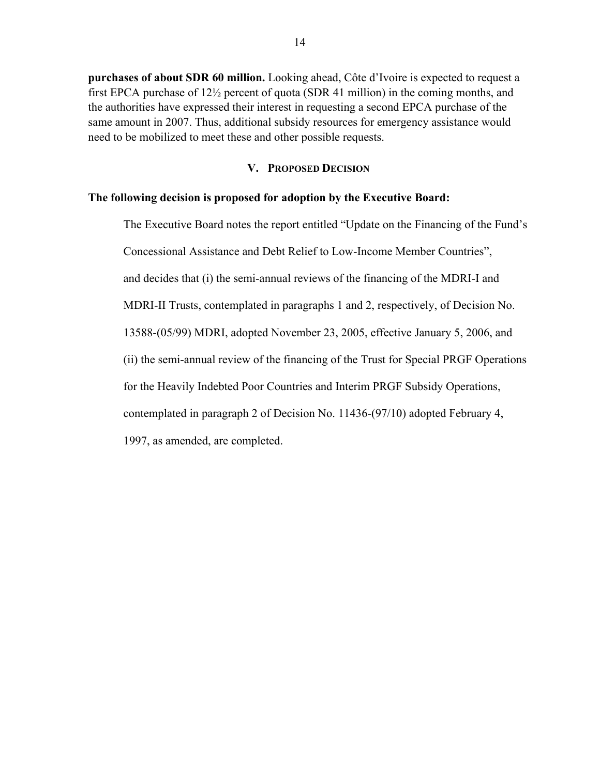**purchases of about SDR 60 million.** Looking ahead, Côte d'Ivoire is expected to request a first EPCA purchase of 12½ percent of quota (SDR 41 million) in the coming months, and the authorities have expressed their interest in requesting a second EPCA purchase of the same amount in 2007. Thus, additional subsidy resources for emergency assistance would need to be mobilized to meet these and other possible requests.

### **V. PROPOSED DECISION**

#### **The following decision is proposed for adoption by the Executive Board:**

The Executive Board notes the report entitled "Update on the Financing of the Fund's Concessional Assistance and Debt Relief to Low-Income Member Countries", and decides that (i) the semi-annual reviews of the financing of the MDRI-I and MDRI-II Trusts, contemplated in paragraphs 1 and 2, respectively, of Decision No. 13588-(05/99) MDRI, adopted November 23, 2005, effective January 5, 2006, and (ii) the semi-annual review of the financing of the Trust for Special PRGF Operations for the Heavily Indebted Poor Countries and Interim PRGF Subsidy Operations, contemplated in paragraph 2 of Decision No. 11436-(97/10) adopted February 4,

1997, as amended, are completed.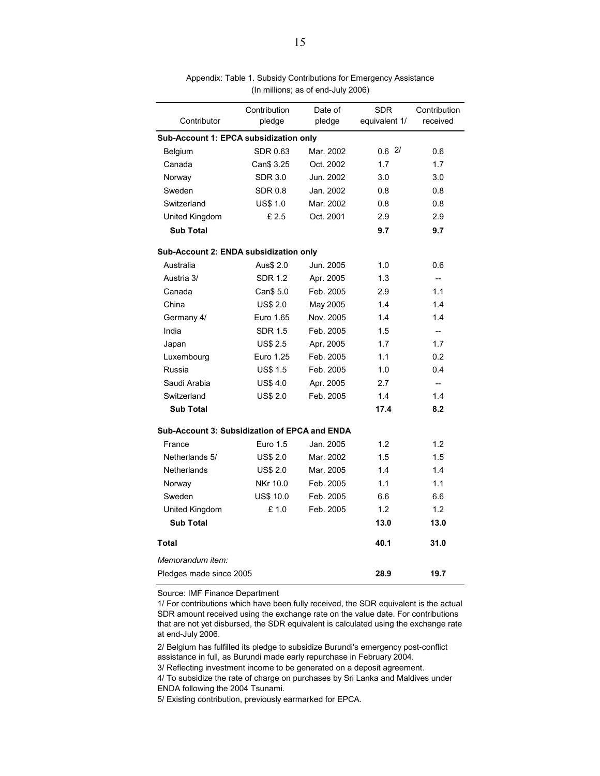|                                               | Contribution     | Date of   | <b>SDR</b>    | Contribution             |  |  |  |  |
|-----------------------------------------------|------------------|-----------|---------------|--------------------------|--|--|--|--|
| Contributor                                   | pledge           | pledge    | equivalent 1/ | received                 |  |  |  |  |
| Sub-Account 1: EPCA subsidization only        |                  |           |               |                          |  |  |  |  |
| Belgium                                       | SDR 0.63         | Mar. 2002 | 0.62/         | 0.6                      |  |  |  |  |
| Canada                                        | Can\$ 3.25       | Oct. 2002 | 1.7           | 1.7                      |  |  |  |  |
| Norway                                        | <b>SDR 3.0</b>   | Jun. 2002 | 3.0           | 3.0                      |  |  |  |  |
| Sweden                                        | <b>SDR 0.8</b>   | Jan. 2002 | 0.8           | 0.8                      |  |  |  |  |
| Switzerland                                   | <b>US\$ 1.0</b>  | Mar. 2002 | 0.8           | 0.8                      |  |  |  |  |
| United Kingdom                                | £2.5             | Oct. 2001 | 2.9           | 2.9                      |  |  |  |  |
| <b>Sub Total</b>                              |                  |           | 9.7           | 9.7                      |  |  |  |  |
| Sub-Account 2: ENDA subsidization only        |                  |           |               |                          |  |  |  |  |
| Australia                                     | Aus\$ 2.0        | Jun. 2005 | 1.0           | 0.6                      |  |  |  |  |
| Austria 3/                                    | <b>SDR 1.2</b>   | Apr. 2005 | 1.3           | --                       |  |  |  |  |
| Canada                                        | Can\$ 5.0        | Feb. 2005 | 2.9           | 1.1                      |  |  |  |  |
| China                                         | <b>US\$ 2.0</b>  | May 2005  | 1.4           | 1.4                      |  |  |  |  |
| Germany 4/                                    | Euro 1.65        | Nov. 2005 | 1.4           | 1.4                      |  |  |  |  |
| India                                         | <b>SDR 1.5</b>   | Feb. 2005 | 1.5           | u.                       |  |  |  |  |
| Japan                                         | <b>US\$ 2.5</b>  | Apr. 2005 | 1.7           | 1.7                      |  |  |  |  |
| Luxembourg                                    | Euro 1.25        | Feb. 2005 | 1.1           | 0.2                      |  |  |  |  |
| Russia                                        | <b>US\$ 1.5</b>  | Feb. 2005 | 1.0           | 0.4                      |  |  |  |  |
| Saudi Arabia                                  | <b>US\$4.0</b>   | Apr. 2005 | 2.7           | $\overline{\phantom{a}}$ |  |  |  |  |
| Switzerland                                   | <b>US\$ 2.0</b>  | Feb. 2005 | 1.4           | 1.4                      |  |  |  |  |
| <b>Sub Total</b>                              |                  |           | 17.4          | 8.2                      |  |  |  |  |
| Sub-Account 3: Subsidization of EPCA and ENDA |                  |           |               |                          |  |  |  |  |
| France                                        | <b>Euro 1.5</b>  | Jan. 2005 | 1.2           | 1.2                      |  |  |  |  |
| Netherlands 5/                                | <b>US\$ 2.0</b>  | Mar. 2002 | 1.5           | 1.5                      |  |  |  |  |
| Netherlands                                   | <b>US\$ 2.0</b>  | Mar. 2005 | 1.4           | 1.4                      |  |  |  |  |
| Norway                                        | NKr 10.0         | Feb. 2005 | 1.1           | 1.1                      |  |  |  |  |
| Sweden                                        | <b>US\$ 10.0</b> | Feb. 2005 | 6.6           | 6.6                      |  |  |  |  |
| United Kingdom                                | £1.0             | Feb. 2005 | 1.2           | 1.2                      |  |  |  |  |
| <b>Sub Total</b>                              |                  |           | 13.0          | 13.0                     |  |  |  |  |
| <b>Total</b>                                  |                  |           | 40.1          | 31.0                     |  |  |  |  |
| Memorandum item:                              |                  |           |               |                          |  |  |  |  |
| Pledges made since 2005                       |                  |           | 28.9          | 19.7                     |  |  |  |  |

Appendix: Table 1. Subsidy Contributions for Emergency Assistance (In millions; as of end-July 2006)

Source: IMF Finance Department

1/ For contributions which have been fully received, the SDR equivalent is the actual SDR amount received using the exchange rate on the value date. For contributions that are not yet disbursed, the SDR equivalent is calculated using the exchange rate at end-July 2006.

2/ Belgium has fulfilled its pledge to subsidize Burundi's emergency post-conflict assistance in full, as Burundi made early repurchase in February 2004.

3/ Reflecting investment income to be generated on a deposit agreement.

4/ To subsidize the rate of charge on purchases by Sri Lanka and Maldives under ENDA following the 2004 Tsunami.

5/ Existing contribution, previously earmarked for EPCA.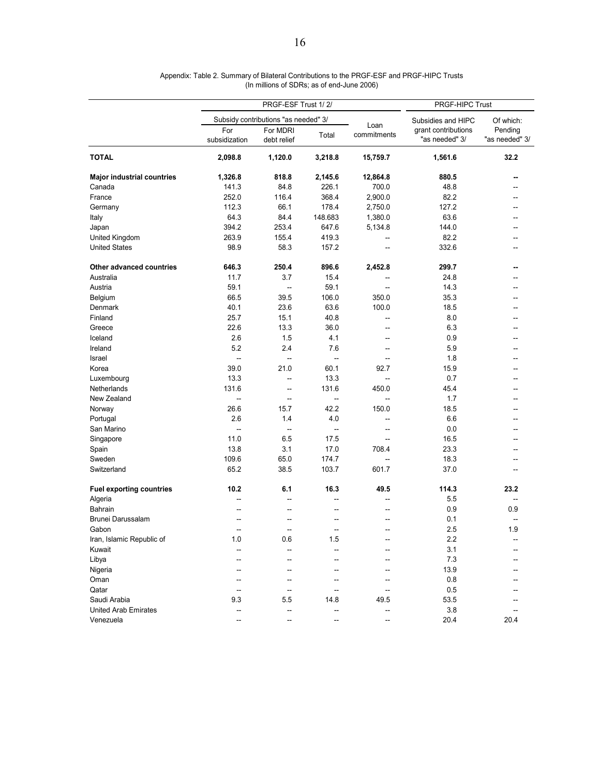|                                   |                      | PRGF-ESF Trust 1/2/                  | <b>PRGF-HIPC Trust</b>   |                          |                                       |                           |  |
|-----------------------------------|----------------------|--------------------------------------|--------------------------|--------------------------|---------------------------------------|---------------------------|--|
|                                   |                      | Subsidy contributions "as needed" 3/ | Subsidies and HIPC       | Of which:                |                                       |                           |  |
|                                   | For<br>subsidization | For MDRI<br>debt relief              | Total                    | Loan<br>commitments      | grant contributions<br>"as needed" 3/ | Pending<br>"as needed" 3/ |  |
| <b>TOTAL</b>                      | 2,098.8              | 1,120.0                              | 3,218.8                  | 15,759.7                 | 1,561.6                               | 32.2                      |  |
| <b>Major industrial countries</b> | 1,326.8              | 818.8                                | 2,145.6                  | 12,864.8                 | 880.5                                 | --                        |  |
| Canada                            | 141.3                | 84.8                                 | 226.1                    | 700.0                    | 48.8                                  |                           |  |
| France                            | 252.0                | 116.4                                | 368.4                    | 2,900.0                  | 82.2                                  |                           |  |
| Germany                           | 112.3                | 66.1                                 | 178.4                    | 2,750.0                  | 127.2                                 |                           |  |
| Italy                             | 64.3                 | 84.4                                 | 148.683                  | 1,380.0                  | 63.6                                  |                           |  |
| Japan                             | 394.2                | 253.4                                | 647.6                    | 5,134.8                  | 144.0                                 |                           |  |
| United Kingdom                    | 263.9                | 155.4                                | 419.3                    |                          | 82.2                                  |                           |  |
| <b>United States</b>              | 98.9                 | 58.3                                 | 157.2                    |                          | 332.6                                 |                           |  |
| Other advanced countries          | 646.3                | 250.4                                | 896.6                    | 2,452.8                  | 299.7                                 | --                        |  |
| Australia                         | 11.7                 | 3.7                                  | 15.4                     |                          | 24.8                                  |                           |  |
| Austria                           | 59.1                 | $\sim$                               | 59.1                     |                          | 14.3                                  |                           |  |
| Belgium                           | 66.5                 | 39.5                                 | 106.0                    | 350.0                    | 35.3                                  |                           |  |
| Denmark                           | 40.1                 | 23.6                                 | 63.6                     | 100.0                    | 18.5                                  |                           |  |
| Finland                           | 25.7                 | 15.1                                 | 40.8                     |                          | 8.0                                   |                           |  |
| Greece                            | 22.6                 | 13.3                                 | 36.0                     | $\overline{a}$           | 6.3                                   |                           |  |
| Iceland                           | 2.6                  | 1.5                                  | 4.1                      | $-$                      | 0.9                                   |                           |  |
| Ireland                           | 5.2                  | 2.4                                  | 7.6                      | --                       | 5.9                                   |                           |  |
| Israel                            | --                   | $\sim$                               | $\rightarrow$            |                          | 1.8                                   |                           |  |
| Korea                             | 39.0                 | 21.0                                 | 60.1                     | 92.7                     | 15.9                                  |                           |  |
| Luxembourg                        | 13.3                 | -−                                   | 13.3                     |                          | 0.7                                   |                           |  |
| Netherlands                       | 131.6                | --                                   | 131.6                    | 450.0                    | 45.4                                  |                           |  |
| New Zealand                       | --                   | $\overline{\phantom{a}}$             | $\overline{\phantom{a}}$ | $\overline{a}$           | 1.7                                   |                           |  |
| Norway                            | 26.6                 | 15.7                                 | 42.2                     | 150.0                    | 18.5                                  |                           |  |
| Portugal                          | 2.6                  | 1.4                                  | 4.0                      | --                       | 6.6                                   |                           |  |
| San Marino                        | Ξ.                   | $\overline{\phantom{a}}$             | Ξ.                       | $\overline{a}$           | 0.0                                   |                           |  |
| Singapore                         | 11.0                 | 6.5                                  | 17.5                     |                          | 16.5                                  |                           |  |
| Spain                             | 13.8                 | 3.1                                  | 17.0                     | 708.4                    | 23.3                                  |                           |  |
| Sweden                            | 109.6                | 65.0                                 | 174.7                    |                          | 18.3                                  |                           |  |
| Switzerland                       | 65.2                 | 38.5                                 | 103.7                    | 601.7                    | 37.0                                  |                           |  |
| <b>Fuel exporting countries</b>   | 10.2                 | 6.1                                  | 16.3                     | 49.5                     | 114.3                                 | 23.2                      |  |
| Algeria                           |                      |                                      |                          |                          | 5.5                                   |                           |  |
| Bahrain                           |                      |                                      | --                       |                          | 0.9                                   | 0.9                       |  |
| Brunei Darussalam                 |                      |                                      | --                       |                          | 0.1                                   |                           |  |
| Gabon                             | --                   | --                                   | --                       | --                       | 2.5                                   | 1.9                       |  |
| Iran, Islamic Republic of         | 1.0                  | 0.6                                  | 1.5                      |                          | 2.2                                   |                           |  |
| Kuwait                            | --                   |                                      |                          | --                       | 3.1                                   |                           |  |
| Libya                             |                      |                                      |                          |                          | 7.3                                   |                           |  |
| Nigeria                           |                      |                                      |                          |                          | 13.9                                  |                           |  |
| Oman                              |                      |                                      |                          |                          | 0.8                                   |                           |  |
|                                   |                      |                                      |                          |                          |                                       |                           |  |
| Qatar                             |                      | --                                   | $\overline{a}$           |                          | 0.5                                   |                           |  |
| Saudi Arabia                      | 9.3                  | 5.5                                  | 14.8                     | 49.5                     | 53.5                                  |                           |  |
| <b>United Arab Emirates</b>       | --                   | --                                   | --                       | --                       | 3.8                                   |                           |  |
| Venezuela                         | --                   | --                                   | $\overline{\phantom{a}}$ | $\overline{\phantom{a}}$ | 20.4                                  | 20.4                      |  |

#### Appendix: Table 2. Summary of Bilateral Contributions to the PRGF-ESF and PRGF-HIPC Trusts (In millions of SDRs; as of end-June 2006)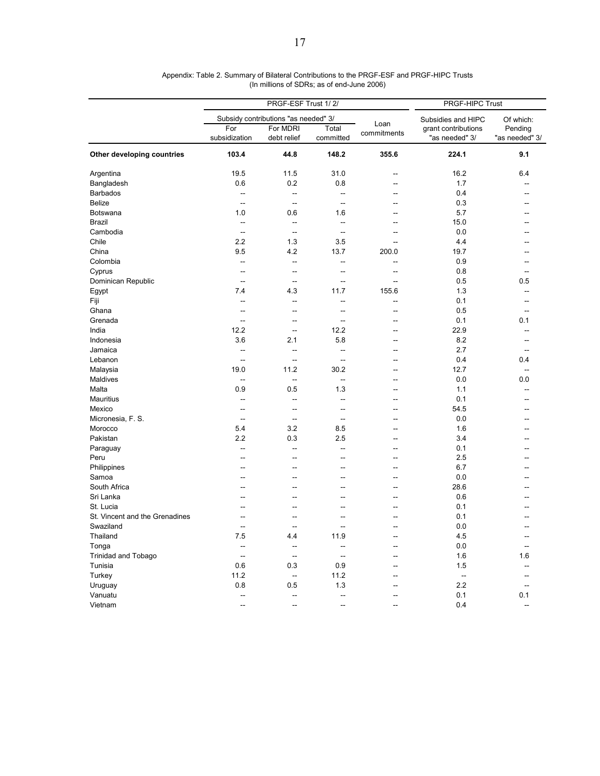|                                |                      | PRGF-ESF Trust 1/2/                  | PRGF-HIPC Trust    |                     |                                       |                           |
|--------------------------------|----------------------|--------------------------------------|--------------------|---------------------|---------------------------------------|---------------------------|
|                                |                      | Subsidy contributions "as needed" 3/ | Subsidies and HIPC | Of which:           |                                       |                           |
|                                | For<br>subsidization | For MDRI<br>debt relief              | Total<br>committed | Loan<br>commitments | grant contributions<br>"as needed" 3/ | Pending<br>"as needed" 3/ |
| Other developing countries     | 103.4                | 44.8                                 | 148.2              | 355.6               | 224.1                                 | 9.1                       |
| Argentina                      | 19.5                 | 11.5                                 | 31.0               | ц,                  | 16.2                                  | 6.4                       |
| Bangladesh                     | 0.6                  | 0.2                                  | 0.8                | $\sim$              | 1.7                                   |                           |
| <b>Barbados</b>                | $\sim$ $\sim$        | $\sim$                               | $\overline{a}$     | $\overline{a}$      | 0.4                                   | --                        |
| <b>Belize</b>                  | $\overline{a}$       | $\overline{\phantom{a}}$             | $\overline{a}$     | --                  | 0.3                                   |                           |
| Botswana                       | 1.0                  | 0.6                                  | 1.6                |                     | 5.7                                   |                           |
| Brazil                         | $\sim$               | $\sim$                               | L.                 | $\overline{a}$      | 15.0                                  |                           |
| Cambodia                       | $\ddotsc$            | $\ddotsc$                            | L.                 | Ц.                  | 0.0                                   |                           |
| Chile                          | 2.2                  | 1.3                                  | 3.5                | Ξ.                  | 4.4                                   |                           |
| China                          | 9.5                  | 4.2                                  | 13.7               | 200.0               | 19.7                                  |                           |
| Colombia                       | $\overline{a}$       | $\sim$                               | $\overline{a}$     | $\overline{a}$      | 0.9                                   |                           |
| Cyprus                         | $\overline{a}$       | $\sim$                               | --                 | --                  | 0.8                                   | $\overline{a}$            |
| Dominican Republic             | Ξ.                   | Ξ.                                   | −−                 | −−                  | 0.5                                   | 0.5                       |
| Egypt                          | 7.4                  | 4.3                                  | 11.7               | 155.6               | 1.3                                   | $\overline{a}$            |
| Fiji                           | $\overline{a}$       | $\sim$                               | Ξ.                 | Ξ.                  | 0.1                                   |                           |
| Ghana                          | $\overline{a}$       | $\overline{a}$                       | $\overline{a}$     | --                  | 0.5                                   | --                        |
| Grenada                        | ц.                   | $\overline{\phantom{a}}$             | ц,                 |                     | 0.1                                   | 0.1                       |
| India                          | 12.2                 | $\sim$                               | 12.2               | $\overline{a}$      | 22.9                                  | $\overline{a}$            |
| Indonesia                      | 3.6                  | 2.1                                  | 5.8                | ÷-                  | 8.2                                   | $\overline{a}$            |
| Jamaica                        | --                   | $\overline{a}$                       | --                 | -−                  | 2.7                                   |                           |
| Lebanon                        | Ξ.                   | $\sim$                               | ÷-                 | --                  | 0.4                                   | 0.4                       |
|                                | 19.0                 | 11.2                                 | 30.2               | $\overline{a}$      | 12.7                                  | $\sim$                    |
| Malaysia                       | L.                   |                                      | $\overline{a}$     |                     |                                       |                           |
| Maldives                       | 0.9                  | $\ddotsc$<br>0.5                     | 1.3                | Ξ.<br>۵.            | 0.0                                   | 0.0<br>$\overline{a}$     |
| Malta                          |                      |                                      |                    |                     | 1.1                                   |                           |
| Mauritius                      | --                   | $\sim$                               | $\overline{a}$     | $\overline{a}$      | 0.1                                   |                           |
| Mexico                         | $\overline{a}$       | $\sim$ $\sim$                        | $\overline{a}$     | $\overline{a}$      | 54.5                                  |                           |
| Micronesia, F. S.              | --                   | Ξ.                                   | Ξ.                 |                     | 0.0                                   |                           |
| Morocco                        | 5.4                  | 3.2                                  | 8.5                | $\overline{a}$      | 1.6                                   |                           |
| Pakistan                       | 2.2                  | 0.3                                  | 2.5                | $\overline{a}$      | 3.4                                   |                           |
| Paraguay                       | $\overline{a}$       | $\sim$                               | Ξ.                 | --                  | 0.1                                   |                           |
| Peru                           | Ξ.                   | ц.                                   |                    |                     | 2.5                                   |                           |
| Philippines                    | $\overline{a}$       | ٠.                                   | $\overline{a}$     | Ξ.                  | 6.7                                   |                           |
| Samoa                          | $\overline{a}$       | $\overline{a}$                       | $\overline{a}$     | $\overline{a}$      | 0.0                                   | $-$                       |
| South Africa                   | --                   | --                                   | <u></u>            | -−                  | 28.6                                  |                           |
| Sri Lanka                      |                      | ц.                                   | ц.                 | ц,                  | 0.6                                   |                           |
| St. Lucia                      | --                   |                                      |                    |                     | 0.1                                   |                           |
| St. Vincent and the Grenadines | Ξ.                   | Ξ.                                   | Ξ.                 | Ξ.                  | 0.1                                   |                           |
| Swaziland                      | Ξ.                   | Ξ.                                   | Ξ.                 | Ξ.                  | 0.0                                   |                           |
| Thailand                       | 7.5                  | 4.4                                  | 11.9               | Ξ.                  | 4.5                                   | $\overline{a}$            |
| Tonga                          | $\overline{a}$       | $\overline{\phantom{a}}$             | $\overline{a}$     | $\overline{a}$      | 0.0                                   | $\overline{a}$            |
| <b>Trinidad and Tobago</b>     | --                   | $\overline{\phantom{a}}$             | $\overline{a}$     | --                  | 1.6                                   | 1.6                       |
| Tunisia                        | 0.6                  | 0.3                                  | 0.9                | Ξ.                  | 1.5                                   |                           |
| Turkey                         | 11.2                 | $\sim$                               | 11.2               | $\overline{a}$      | $\overline{\phantom{a}}$              |                           |
| Uruguay                        | 0.8                  | 0.5                                  | 1.3                |                     | 2.2                                   | $\sim$                    |
| Vanuatu                        | $\overline{a}$       | $\overline{a}$                       | ÷-                 |                     | 0.1                                   | 0.1                       |
| Vietnam                        | Ξ.                   | $\sim$                               | ÷-                 | -−                  | 0.4                                   | $\overline{a}$            |

#### Appendix: Table 2. Summary of Bilateral Contributions to the PRGF-ESF and PRGF-HIPC Trusts (In millions of SDRs; as of end-June 2006)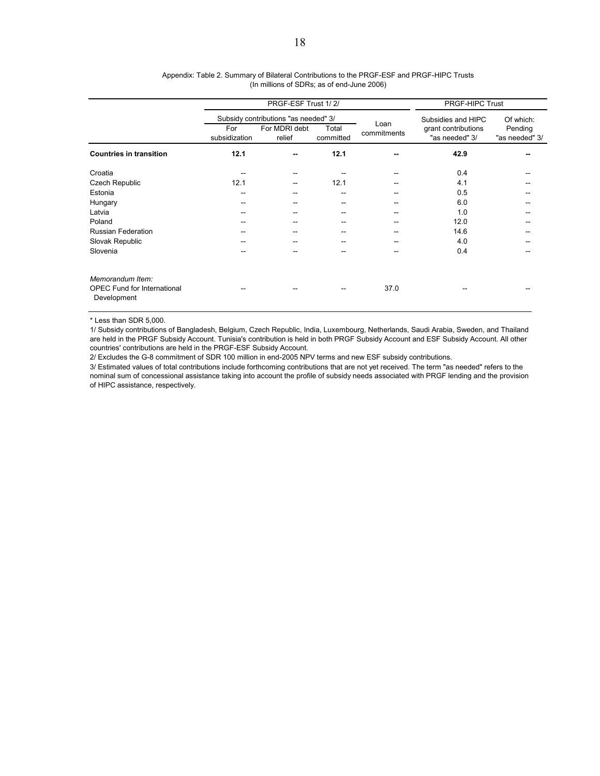|                                                                       |                      | PRGF-ESF Trust 1/2/                  | PRGF-HIPC Trust    |                     |                                       |                                        |
|-----------------------------------------------------------------------|----------------------|--------------------------------------|--------------------|---------------------|---------------------------------------|----------------------------------------|
|                                                                       |                      | Subsidy contributions "as needed" 3/ |                    |                     | Subsidies and HIPC                    | Of which:<br>Pending<br>"as needed" 3/ |
|                                                                       | For<br>subsidization | For MDRI debt<br>relief              | Total<br>committed | Loan<br>commitments | grant contributions<br>"as needed" 3/ |                                        |
| <b>Countries in transition</b>                                        | 12.1                 |                                      | 12.1               | --                  | 42.9                                  |                                        |
| Croatia                                                               |                      |                                      |                    |                     | 0.4                                   |                                        |
| Czech Republic                                                        | 12.1                 |                                      | 12.1               |                     | 4.1                                   |                                        |
| Estonia                                                               | $- -$                |                                      |                    |                     | 0.5                                   |                                        |
| Hungary                                                               | --                   |                                      |                    |                     | 6.0                                   |                                        |
| Latvia                                                                |                      |                                      |                    |                     | 1.0                                   |                                        |
| Poland                                                                | $- -$                |                                      |                    | --                  | 12.0                                  |                                        |
| <b>Russian Federation</b>                                             | --                   |                                      |                    |                     | 14.6                                  |                                        |
| Slovak Republic                                                       |                      |                                      |                    |                     | 4.0                                   |                                        |
| Slovenia                                                              |                      |                                      |                    |                     | 0.4                                   |                                        |
| Memorandum Item:<br><b>OPEC Fund for International</b><br>Development | --                   |                                      |                    | 37.0                |                                       |                                        |

#### Appendix: Table 2. Summary of Bilateral Contributions to the PRGF-ESF and PRGF-HIPC Trusts (In millions of SDRs; as of end-June 2006)

\* Less than SDR 5,000.

1/ Subsidy contributions of Bangladesh, Belgium, Czech Republic, India, Luxembourg, Netherlands, Saudi Arabia, Sweden, and Thailand are held in the PRGF Subsidy Account. Tunisia's contribution is held in both PRGF Subsidy Account and ESF Subsidy Account. All other countries' contributions are held in the PRGF-ESF Subsidy Account.

2/ Excludes the G-8 commitment of SDR 100 million in end-2005 NPV terms and new ESF subsidy contributions.

3/ Estimated values of total contributions include forthcoming contributions that are not yet received. The term "as needed" refers to the nominal sum of concessional assistance taking into account the profile of subsidy needs associated with PRGF lending and the provision of HIPC assistance, respectively.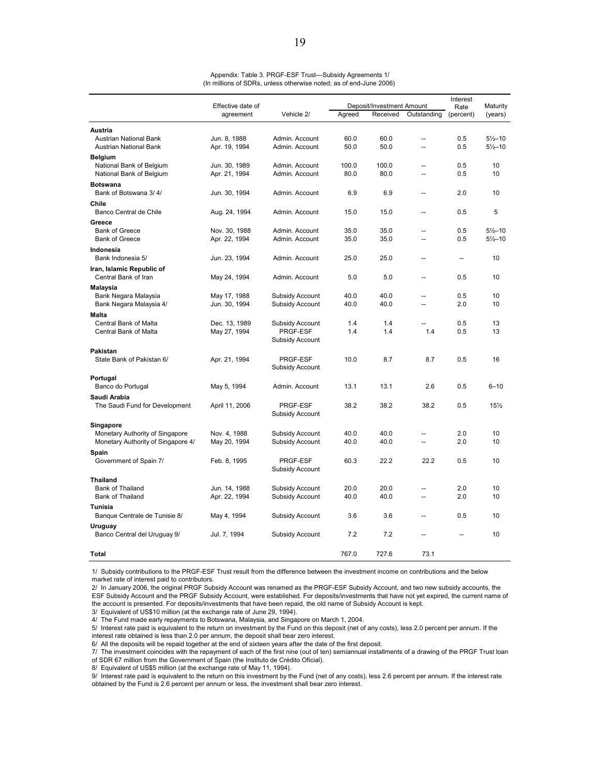|                                                | Effective date of<br>Vehicle 2/<br>agreement |                 |        | Deposit/Investment Amount | Interest<br>Rate         | Maturity  |                     |
|------------------------------------------------|----------------------------------------------|-----------------|--------|---------------------------|--------------------------|-----------|---------------------|
|                                                |                                              |                 | Agreed | Received                  | Outstanding              | (percent) | (years)             |
| <b>Austria</b>                                 |                                              |                 |        |                           |                          |           |                     |
| Austrian National Bank                         | Jun. 8, 1988                                 | Admin. Account  | 60.0   | 60.0                      | $\overline{a}$           | 0.5       | $5\frac{1}{2} - 10$ |
| <b>Austrian National Bank</b>                  | Apr. 19, 1994                                | Admin, Account  | 50.0   | 50.0                      | --                       | 0.5       | $5\frac{1}{2} - 10$ |
| <b>Belgium</b>                                 |                                              |                 |        |                           |                          |           |                     |
| National Bank of Belgium                       | Jun. 30, 1989                                | Admin, Account  | 100.0  | 100.0                     | --                       | 0.5       | 10                  |
| National Bank of Belgium                       | Apr. 21, 1994                                | Admin. Account  | 80.0   | 80.0                      | $\overline{a}$           | 0.5       | 10                  |
| <b>Botswana</b>                                |                                              |                 |        |                           |                          |           |                     |
| Bank of Botswana 3/4/                          | Jun. 30, 1994                                | Admin. Account  | 6.9    | 6.9                       | Ξ.                       | 2.0       | 10                  |
| Chile                                          |                                              |                 |        |                           |                          |           |                     |
| Banco Central de Chile                         | Aug. 24, 1994                                | Admin, Account  | 15.0   | 15.0                      | --                       | 0.5       | 5                   |
| Greece                                         |                                              |                 |        |                           |                          |           |                     |
| <b>Bank of Greece</b>                          | Nov. 30, 1988                                | Admin, Account  | 35.0   | 35.0                      | $\overline{a}$           | 0.5       | $5\frac{1}{2} - 10$ |
| <b>Bank of Greece</b>                          | Apr. 22, 1994                                | Admin. Account  | 35.0   | 35.0                      | $\overline{a}$           | 0.5       | $5\frac{1}{2} - 10$ |
| Indonesia                                      |                                              |                 |        |                           |                          |           |                     |
| Bank Indonesia 5/                              | Jun. 23, 1994                                | Admin. Account  | 25.0   | 25.0                      | Ξ.                       | --        | 10                  |
| Iran, Islamic Republic of                      |                                              |                 |        |                           |                          |           |                     |
| Central Bank of Iran                           | May 24, 1994                                 | Admin, Account  | 5.0    | 5.0                       | $\overline{a}$           | 0.5       | 10                  |
| Malaysia                                       |                                              |                 |        |                           |                          |           |                     |
| Bank Negara Malaysia                           | May 17, 1988                                 | Subsidy Account | 40.0   | 40.0                      | Ξ.                       | 0.5       | 10                  |
| Bank Negara Malaysia 4/                        | Jun. 30, 1994                                | Subsidy Account | 40.0   | 40.0                      | --                       | 2.0       | 10                  |
| <b>Malta</b>                                   |                                              |                 |        |                           |                          |           |                     |
| Central Bank of Malta                          | Dec. 13, 1989                                | Subsidy Account | 1.4    | 1.4                       |                          | 0.5       | 13                  |
| Central Bank of Malta                          | May 27, 1994                                 | PRGF-ESF        | 1.4    | 1.4                       | 1.4                      | 0.5       | 13                  |
|                                                |                                              | Subsidy Account |        |                           |                          |           |                     |
| Pakistan                                       |                                              | PRGF-ESF        | 10.0   | 8.7                       | 8.7                      | 0.5       | 16                  |
| State Bank of Pakistan 6/                      | Apr. 21, 1994                                | Subsidy Account |        |                           |                          |           |                     |
|                                                |                                              |                 |        |                           |                          |           |                     |
| Portugal<br>Banco do Portugal                  | May 5, 1994                                  | Admin. Account  | 13.1   | 13.1                      | 2.6                      | 0.5       | $6 - 10$            |
|                                                |                                              |                 |        |                           |                          |           |                     |
| Saudi Arabia<br>The Saudi Fund for Development | April 11, 2006                               | <b>PRGF-ESF</b> | 38.2   | 38.2                      | 38.2                     | 0.5       | 15%                 |
|                                                |                                              | Subsidy Account |        |                           |                          |           |                     |
| Singapore                                      |                                              |                 |        |                           |                          |           |                     |
| Monetary Authority of Singapore                | Nov. 4, 1988                                 | Subsidy Account | 40.0   | 40.0                      | $\overline{a}$           | 2.0       | 10                  |
| Monetary Authority of Singapore 4/             | May 20, 1994                                 | Subsidy Account | 40.0   | 40.0                      | --                       | 2.0       | 10                  |
| Spain                                          |                                              |                 |        |                           |                          |           |                     |
| Government of Spain 7/                         | Feb. 8, 1995                                 | PRGF-ESF        | 60.3   | 22.2                      | 22.2                     | 0.5       | 10                  |
|                                                |                                              | Subsidy Account |        |                           |                          |           |                     |
| <b>Thailand</b>                                |                                              |                 |        |                           |                          |           |                     |
| <b>Bank of Thailand</b>                        | Jun. 14, 1988                                | Subsidy Account | 20.0   | 20.0                      | Ξ.                       | 2.0       | 10                  |
| <b>Bank of Thailand</b>                        | Apr. 22, 1994                                | Subsidy Account | 40.0   | 40.0                      | $\overline{\phantom{a}}$ | 2.0       | 10                  |
| <b>Tunisia</b>                                 |                                              |                 |        |                           |                          |           |                     |
| Banque Centrale de Tunisie 8/                  | May 4, 1994                                  | Subsidy Account | 3.6    | 3.6                       | Ξ.                       | 0.5       | 10                  |
| Uruguay                                        |                                              |                 |        |                           |                          |           |                     |
| Banco Central del Uruguay 9/                   | Jul. 7, 1994                                 | Subsidy Account | 7.2    | 7.2                       | $\overline{a}$           |           | 10                  |
|                                                |                                              |                 |        |                           |                          |           |                     |
| Total                                          |                                              |                 | 767.0  | 727.6                     | 73.1                     |           |                     |

| Appendix: Table 3. PRGF-ESF Trust-Subsidy Agreements 1/            |  |
|--------------------------------------------------------------------|--|
| (In millions of SDRs, unless otherwise noted; as of end-June 2006) |  |

1/ Subsidy contributions to the PRGF-ESF Trust result from the difference between the investment income on contributions and the below market rate of interest paid to contributors.

2/ In January 2006, the original PRGF Subsidy Account was renamed as the PRGF-ESF Subsidy Account, and two new subsidy accounts, the ESF Subsidy Account and the PRGF Subsidy Account, were established. For deposits/investments that have not yet expired, the current name of the account is presented. For deposits/investments that have been repaid, the old name of Subsidy Account is kept.

3/ Equivalent of US\$10 million (at the exchange rate of June 29, 1994).

4/ The Fund made early repayments to Botswana, Malaysia, and Singapore on March 1, 2004.

5/ Interest rate paid is equivalent to the return on investment by the Fund on this deposit (net of any costs), less 2.0 percent per annum. If the interest rate obtained is less than 2.0 per annum, the deposit shall bear zero interest.

6/ All the deposits will be repaid together at the end of sixteen years after the date of the first deposit.

7/ The investment coincides with the repayment of each of the first nine (out of ten) semiannual installments of a drawing of the PRGF Trust loan of SDR 67 million from the Government of Spain (the Instituto de Crédito Oficial).

8/ Equivalent of US\$5 million (at the exchange rate of May 11, 1994).

9/ Interest rate paid is equivalent to the return on this investment by the Fund (net of any costs), less 2.6 percent per annum. If the interest rate obtained by the Fund is 2.6 percent per annum or less, the investment shall bear zero interest.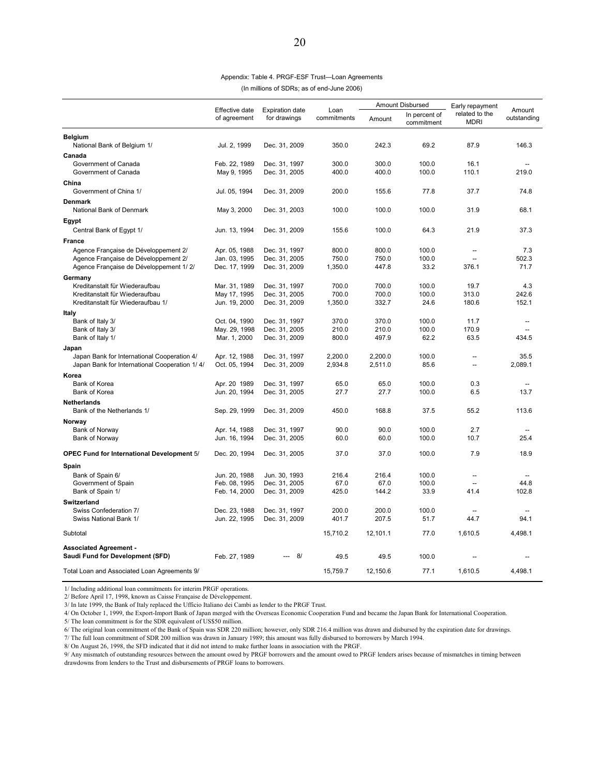| Appendix: Table 4. PRGF-ESF Trust-Loan Agreements |
|---------------------------------------------------|
| (In millions of SDRs: as of end-June 2006)        |

|                                                                                              |                                |                                        |                     | Amount Disbursed   |                             | Early repayment               |                       |
|----------------------------------------------------------------------------------------------|--------------------------------|----------------------------------------|---------------------|--------------------|-----------------------------|-------------------------------|-----------------------|
|                                                                                              | Effective date<br>of agreement | <b>Expiration date</b><br>for drawings | Loan<br>commitments | Amount             | In percent of<br>commitment | related to the<br><b>MDRI</b> | Amount<br>outstanding |
| <b>Belgium</b><br>National Bank of Belgium 1/                                                | Jul. 2, 1999                   | Dec. 31, 2009                          | 350.0               | 242.3              | 69.2                        | 87.9                          | 146.3                 |
| Canada                                                                                       |                                |                                        |                     |                    |                             |                               |                       |
| Government of Canada                                                                         | Feb. 22, 1989                  | Dec. 31, 1997                          | 300.0               | 300.0              | 100.0                       | 16.1                          |                       |
| Government of Canada                                                                         | May 9, 1995                    | Dec. 31, 2005                          | 400.0               | 400.0              | 100.0                       | 110.1                         | 219.0                 |
| China                                                                                        |                                |                                        |                     |                    |                             |                               |                       |
| Government of China 1/                                                                       | Jul. 05, 1994                  | Dec. 31, 2009                          | 200.0               | 155.6              | 77.8                        | 37.7                          | 74.8                  |
| <b>Denmark</b>                                                                               |                                |                                        |                     |                    |                             |                               |                       |
| National Bank of Denmark                                                                     | May 3, 2000                    | Dec. 31, 2003                          | 100.0               | 100.0              | 100.0                       | 31.9                          | 68.1                  |
| Egypt                                                                                        |                                |                                        |                     |                    |                             |                               |                       |
| Central Bank of Egypt 1/                                                                     | Jun. 13, 1994                  | Dec. 31, 2009                          | 155.6               | 100.0              | 64.3                        | 21.9                          | 37.3                  |
|                                                                                              |                                |                                        |                     |                    |                             |                               |                       |
| <b>France</b>                                                                                |                                |                                        |                     |                    |                             |                               |                       |
| Agence Française de Développement 2/                                                         | Apr. 05, 1988                  | Dec. 31, 1997                          | 800.0               | 800.0              | 100.0                       | $\overline{\phantom{a}}$      | 7.3                   |
| Agence Française de Développement 2/<br>Agence Française de Développement 1/2/               | Jan. 03, 1995<br>Dec. 17, 1999 | Dec. 31, 2005<br>Dec. 31, 2009         | 750.0<br>1,350.0    | 750.0<br>447.8     | 100.0<br>33.2               | Ξ.<br>376.1                   | 502.3<br>71.7         |
|                                                                                              |                                |                                        |                     |                    |                             |                               |                       |
| Germany                                                                                      |                                |                                        |                     |                    |                             |                               |                       |
| Kreditanstalt für Wiederaufbau<br>Kreditanstalt für Wiederaufbau                             | Mar. 31, 1989                  | Dec. 31, 1997                          | 700.0<br>700.0      | 700.0<br>700.0     | 100.0<br>100.0              | 19.7                          | 4.3<br>242.6          |
| Kreditanstalt für Wiederaufbau 1/                                                            | May 17, 1995<br>Jun. 19, 2000  | Dec. 31, 2005<br>Dec. 31, 2009         | 1,350.0             | 332.7              | 24.6                        | 313.0<br>180.6                | 152.1                 |
|                                                                                              |                                |                                        |                     |                    |                             |                               |                       |
| Italy                                                                                        |                                |                                        |                     |                    |                             |                               |                       |
| Bank of Italy 3/<br>Bank of Italy 3/                                                         | Oct. 04, 1990                  | Dec. 31, 1997<br>Dec. 31, 2005         | 370.0<br>210.0      | 370.0<br>210.0     | 100.0<br>100.0              | 11.7<br>170.9                 |                       |
| Bank of Italy 1/                                                                             | May. 29, 1998<br>Mar. 1, 2000  | Dec. 31, 2009                          | 800.0               | 497.9              | 62.2                        | 63.5                          | 434.5                 |
|                                                                                              |                                |                                        |                     |                    |                             |                               |                       |
| Japan                                                                                        |                                |                                        | 2,200.0             |                    | 100.0                       |                               | 35.5                  |
| Japan Bank for International Cooperation 4/<br>Japan Bank for International Cooperation 1/4/ | Apr. 12, 1988<br>Oct. 05, 1994 | Dec. 31, 1997<br>Dec. 31, 2009         | 2,934.8             | 2,200.0<br>2,511.0 | 85.6                        | Ξ.                            | 2,089.1               |
|                                                                                              |                                |                                        |                     |                    |                             |                               |                       |
| Korea<br>Bank of Korea                                                                       | Apr. 20 1989                   |                                        | 65.0                | 65.0               | 100.0                       |                               |                       |
| <b>Bank of Korea</b>                                                                         | Jun. 20, 1994                  | Dec. 31, 1997<br>Dec. 31, 2005         | 27.7                | 27.7               | 100.0                       | 0.3<br>6.5                    | 13.7                  |
|                                                                                              |                                |                                        |                     |                    |                             |                               |                       |
| <b>Netherlands</b>                                                                           |                                |                                        |                     |                    |                             |                               |                       |
| Bank of the Netherlands 1/                                                                   | Sep. 29, 1999                  | Dec. 31, 2009                          | 450.0               | 168.8              | 37.5                        | 55.2                          | 113.6                 |
| Norway                                                                                       |                                |                                        |                     |                    |                             |                               |                       |
| Bank of Norway                                                                               | Apr. 14, 1988                  | Dec. 31, 1997                          | 90.0                | 90.0               | 100.0                       | 2.7                           |                       |
| Bank of Norway                                                                               | Jun. 16, 1994                  | Dec. 31, 2005                          | 60.0                | 60.0               | 100.0                       | 10.7                          | 25.4                  |
| OPEC Fund for International Development 5/                                                   | Dec. 20, 1994                  | Dec. 31, 2005                          | 37.0                | 37.0               | 100.0                       | 7.9                           | 18.9                  |
| Spain                                                                                        |                                |                                        |                     |                    |                             |                               |                       |
| Bank of Spain 6/                                                                             | Jun. 20, 1988                  | Jun. 30, 1993                          | 216.4               | 216.4              | 100.0                       | --                            |                       |
| Government of Spain                                                                          | Feb. 08, 1995                  | Dec. 31, 2005                          | 67.0                | 67.0               | 100.0                       |                               | 44.8                  |
| Bank of Spain 1/                                                                             | Feb. 14, 2000                  | Dec. 31, 2009                          | 425.0               | 144.2              | 33.9                        | 41.4                          | 102.8                 |
| Switzerland                                                                                  |                                |                                        |                     |                    |                             |                               |                       |
| Swiss Confederation 7/                                                                       | Dec. 23, 1988                  | Dec. 31, 1997                          | 200.0               | 200.0              | 100.0                       |                               |                       |
| Swiss National Bank 1/                                                                       | Jun. 22, 1995                  | Dec. 31, 2009                          | 401.7               | 207.5              | 51.7                        | 44.7                          | 94.1                  |
| Subtotal                                                                                     |                                |                                        | 15,710.2            | 12,101.1           | 77.0                        | 1,610.5                       | 4,498.1               |
|                                                                                              |                                |                                        |                     |                    |                             |                               |                       |
| <b>Associated Agreement -</b>                                                                |                                |                                        |                     |                    |                             |                               |                       |
| Saudi Fund for Development (SFD)                                                             | Feb. 27, 1989                  | 8/                                     | 49.5                | 49.5               | 100.0                       |                               |                       |
| Total Loan and Associated Loan Agreements 9/                                                 |                                |                                        | 15.759.7            | 12,150.6           | 77.1                        | 1.610.5                       | 4.498.1               |

1/ Including additional loan commitments for interim PRGF operations.

2/ Before April 17, 1998, known as Caisse Française de Développement.

3/ In late 1999, the Bank of Italy replaced the Ufficio Italiano dei Cambi as lender to the PRGF Trust.

4/ On October 1, 1999, the Export-Import Bank of Japan merged with the Overseas Economic Cooperation Fund and became the Japan Bank for International Cooperation.

5/ The loan commitment is for the SDR equivalent of US\$50 million.

6/ The original loan commitment of the Bank of Spain was SDR 220 million; however, only SDR 216.4 million was drawn and disbursed by the expiration date for drawings.

7/ The full loan commitment of SDR 200 million was drawn in January 1989; this amount was fully disbursed to borrowers by March 1994.

8/ On August 26, 1998, the SFD indicated that it did not intend to make further loans in association with the PRGF.

9/ Any mismatch of outstanding resources between the amount owed by PRGF borrowers and the amount owed to PRGF lenders arises because of mismatches in timing between drawdowns from lenders to the Trust and disbursements of PRGF loans to borrowers.